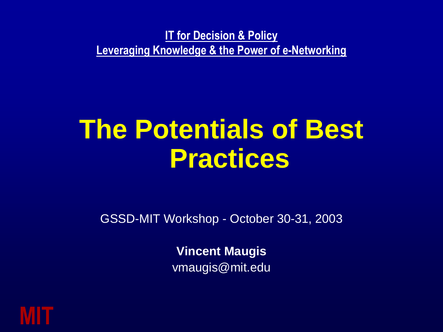**IT for Decision & Policy Leveraging Knowledge & the Power of e-Networking**

# **The Potentials of Best Practices**

GSSD-MIT Workshop - October 30-31, 2003

**Vincent Maugis**  vmaugis@mit.edu

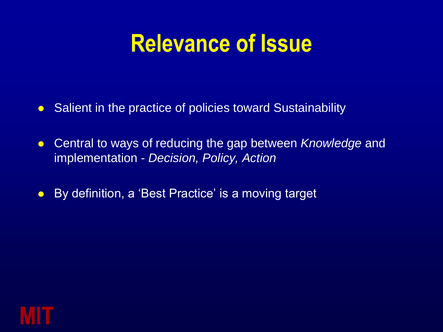### **Relevance of Issue**

- Salient in the practice of policies toward Sustainability
- Central to ways of reducing the gap between *Knowledge* and implementation - *Decision, Policy, Action*
- By definition, a 'Best Practice' is a moving target

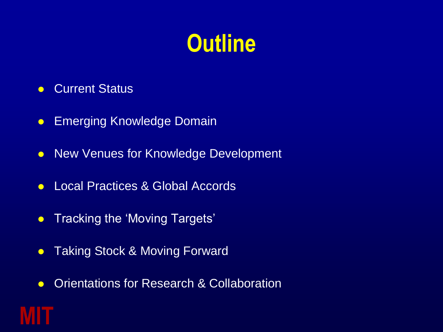# **Outline**

**• Current Status** 

**MIT**

- **Emerging Knowledge Domain**
- New Venues for Knowledge Development
- Local Practices & Global Accords
- Tracking the 'Moving Targets'
- Taking Stock & Moving Forward
- **Orientations for Research & Collaboration**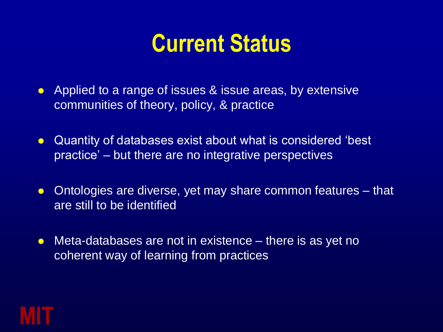### **Current Status**

- Applied to a range of issues & issue areas, by extensive communities of theory, policy, & practice
- Quantity of databases exist about what is considered 'best practice" – but there are no integrative perspectives
- Ontologies are diverse, yet may share common features that are still to be identified
- Meta-databases are not in existence there is as yet no coherent way of learning from practices

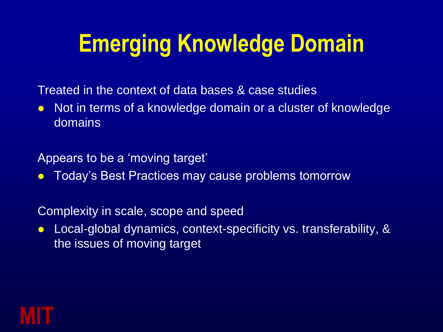# **Emerging Knowledge Domain**

Treated in the context of data bases & case studies

• Not in terms of a knowledge domain or a cluster of knowledge domains

Appears to be a "moving target"

**• Today's Best Practices may cause problems tomorrow** 

Complexity in scale, scope and speed

 Local-global dynamics, context-specificity vs. transferability, & the issues of moving target

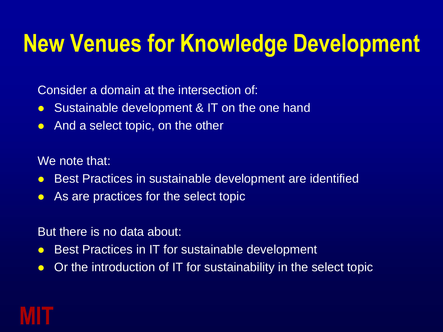## **New Venues for Knowledge Development**

Consider a domain at the intersection of:

- Sustainable development & IT on the one hand
- And a select topic, on the other

We note that:

- Best Practices in sustainable development are identified
- As are practices for the select topic

But there is no data about:

- Best Practices in IT for sustainable development
- Or the introduction of IT for sustainability in the select topic

### **MIT**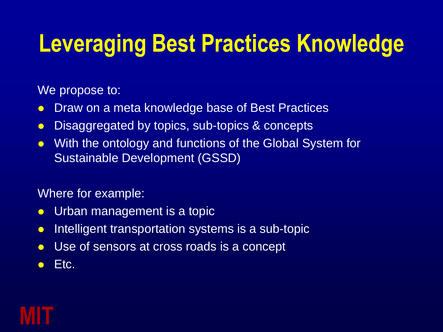# **Leveraging Best Practices Knowledge**

We propose to:

- Draw on a meta knowledge base of Best Practices
- Disaggregated by topics, sub-topics & concepts
- With the ontology and functions of the Global System for Sustainable Development (GSSD)

Where for example:

- Urban management is a topic
- Intelligent transportation systems is a sub-topic
- Use of sensors at cross roads is a concept
- $\bullet$  Etc.

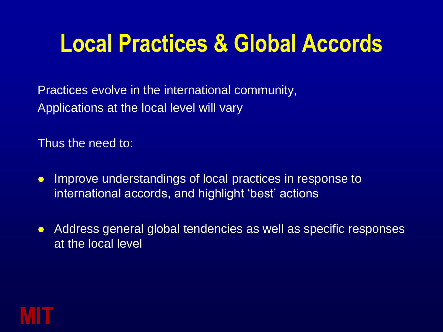### **Local Practices & Global Accords**

Practices evolve in the international community, Applications at the local level will vary

Thus the need to:

- Improve understandings of local practices in response to international accords, and highlight 'best' actions
- Address general global tendencies as well as specific responses at the local level

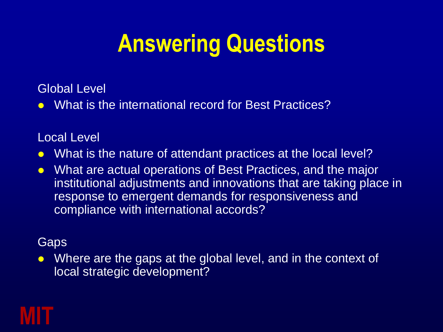# **Answering Questions**

#### Global Level

• What is the international record for Best Practices?

#### Local Level

- What is the nature of attendant practices at the local level?
- What are actual operations of Best Practices, and the major institutional adjustments and innovations that are taking place in response to emergent demands for responsiveness and compliance with international accords?

#### **Gaps**

• Where are the gaps at the global level, and in the context of local strategic development?

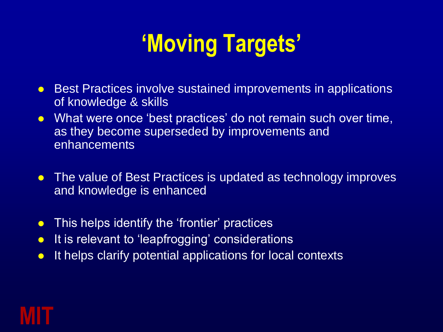# **'Moving Targets'**

- Best Practices involve sustained improvements in applications of knowledge & skills
- What were once 'best practices' do not remain such over time, as they become superseded by improvements and enhancements
- The value of Best Practices is updated as technology improves and knowledge is enhanced
- This helps identify the 'frontier' practices
- It is relevant to 'leapfrogging' considerations
- It helps clarify potential applications for local contexts

### **MIT**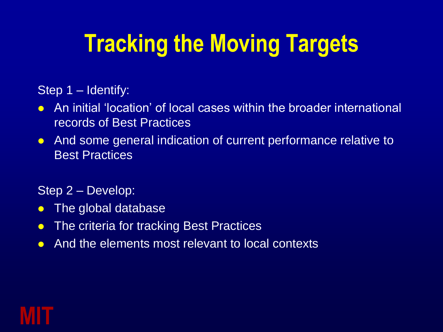# **Tracking the Moving Targets**

Step 1 – Identify:

- An initial "location" of local cases within the broader international records of Best Practices
- And some general indication of current performance relative to Best Practices

Step 2 – Develop:

- The global database
- The criteria for tracking Best Practices
- And the elements most relevant to local contexts

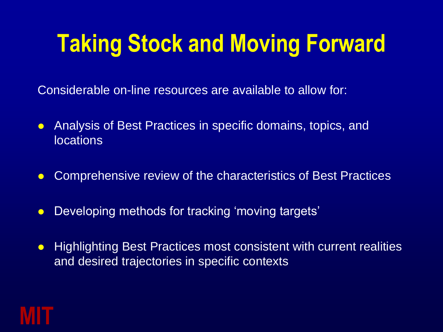# **Taking Stock and Moving Forward**

Considerable on-line resources are available to allow for:

- Analysis of Best Practices in specific domains, topics, and locations
- Comprehensive review of the characteristics of Best Practices
- Developing methods for tracking 'moving targets'
- Highlighting Best Practices most consistent with current realities and desired trajectories in specific contexts

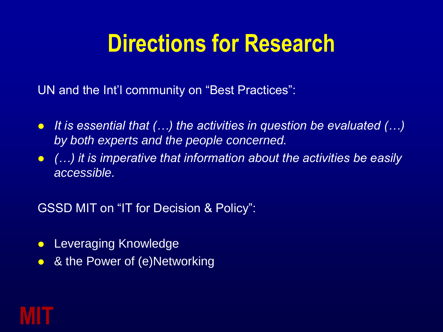## **Directions for Research**

UN and the Int'l community on "Best Practices":

- *It is essential that (…) the activities in question be evaluated (…) by both experts and the people concerned.*
- *(…) it is imperative that information about the activities be easily accessible.*

GSSD MIT on "IT for Decision & Policy":

- **Leveraging Knowledge**
- & the Power of (e)Networking